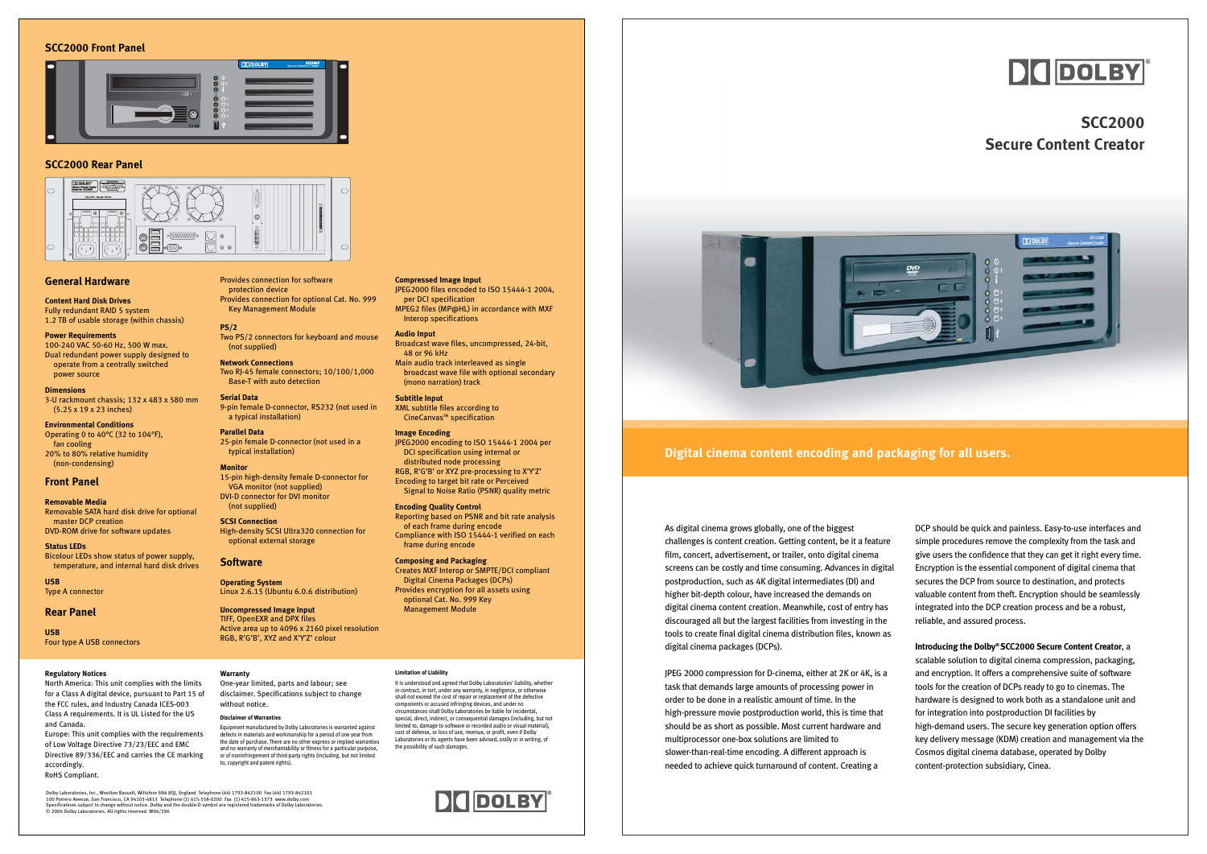As digital cinema grows globally, one of the biggest challenges is content creation. Getting content, be it a feature film, concert, advertisement, or trailer, onto digital cinema screens can be costly and time consuming. Advances in digital postproduction, such as 4K digital intermediates (DI) and higher bit-depth colour, have increased the demands on digital cinema content creation. Meanwhile, cost of entry has discouraged all but the largest facilities from investing in the tools to create final digital cinema distribution files, known as digital cinema packages (DCPs).

JPEG 2000 compression for D-cinema, either at 2K or 4K, is <sup>a</sup> task that demands large amounts of processing power in order to be done in a realistic amount of time. In the high-pressure movie postproduction world, this is time that should be as short as possible. Most current hardware and multiprocessor one-box solutions are limited to slower-than-real-time encoding. A different approach is needed to achieve quick turnaround of content. Creating a

DCP should be quick and painless. Easy-to-use interfaces and simple procedures remove the complexity from the task and give users the confidence that they can get it right every time. Encryption is the essential component of digital cinema that secures the DCP from source to destination, and protects valuable content from theft. Encryption should be seamlessly integrated into the DCP creation process and be a robust, reliable, and assured process.

**Introducing the Dolby® SCC2000 Secure Content Creator**, <sup>a</sup> scalable solution to digital cinema compression, packaging, and encryption. It offers a comprehensive suite of software tools for the creation of DCPs ready to go to cinemas. The hardware is designed to work both as a standalone unit and for integration into postproduction DI facilities by high-demand users. The secure key generation option offers key delivery message (KDM) creation and management via the Cosmos digital cinema database, operated by Dolby content-protection subsidiary, Cinea.

## **Digital cinema content encoding and packaging for all users.**

# **SCC2000 Secure Content Creator**



## **Regulatory Notices**

North America: This unit complies with the limits for a Class A digital device, pursuant to Part 15 of the FCC rules, and Industry Canada ICES-003 Class A requirements. It is UL Listed for the US and Canada. Europe: This unit complies with the requirements

of Low Voltage Directive 73/23/EEC and EMC Directive 89/336/EEC and carries the CE marking accordingly. RoHS Compliant.

Dolby Laboratories, Inc., Wootton Bassett, Wiltshire SN4 80J, England Telephone (44) 1793-842100 Fax (44) 1793-842101<br>100 Potrero Avenue, San Francisco, CA 94103-4813 Telephone (1) 415-558-0200 Fax (1) 415-863-1373 www.dol

**Warranty**

One-year limited, parts and labour; see

without notice. **Disclaimer of Warranties** **Subtitle Input** XML subtitle files according to CineCanvas™ specification

or of noninfringement of third-party rights (including, but not limited

to, copyright and patent rights).

### **Limitation of Liability**

disclaimer. Specifications subject to change Equipment manufactured by Dolby Laboratories is warranted against defects in materials and workmanship for a period of one year from the date of purchase. There are no other express or implied warranties and no warranty of merchantability or fitness for a particular purpose, It is understood and agreed that Dolby Laboratories' liability, whether in contract, in tort, under any warranty, in negligence, or otherwise shall not exceed the cost of repair or replacement of the defective components or accused infringing devices, and under no circumstances shall Dolby Laboratories be liable for incidental, special, direct, indirect, or consequential damages (including, but not limited to, damage to software or recorded audio or visual material), cost of defense, or loss of use, revenue, or profit, even if Dolby Laboratories or its agents have been advised, orally or in writing, of

the possibility of such damages.



## **SCC2000 Front Panel**



## **SCC2000 Rear Panel**



## **General Hardware**

**Content Hard Disk Drives** Fully redundant RAID 5 system 1.2 TB of usable storage (within chassis)

**Power Requirements** 100-240 VAC 50-60 Hz, 500 W max. Dual redundant power supply designed to operate from a centrally switched power source

### **Dimensions**

3-U rackmount chassis; 132 x 483 x 580 mm (5.25 x 19 x 23 inches)

**Environmental Conditions** Operating 0 to 40°C (32 to 104°F), fan cooling 20% to 80% relative humidity (non-condensing)

## **Front Panel**

**Removable Media** Removable SATA hard disk drive for optional master DCP creation DVD-ROM drive for software updates

**Status LEDs** Bicolour LEDs show status of power supply, temperature, and internal hard disk drives

**USB** Type A connector

## **Rear Panel**

**USB** Four type A USB connectors

## Provides connection for software protection device Provides connection for optional Cat. No. 999 Key Management Module

**PS/2** Two PS/2 connectors for keyboard and mouse (not supplied)

**Network Connections** Two RJ-45 female connectors; 10/100/1,000 Base-T with auto detection

**Serial Data** 9-pin female D-connector, RS232 (not used in a typical installation)

**Parallel Data** 25-pin female D-connector (not used in a typical installation)

**Monitor** 15-pin high-density female D-connector for VGA monitor (not supplied) DVI-D connector for DVI monitor (not supplied)

**SCSI Connection** High-density SCSI Ultra320 connection for optional external storage

## **Software**

**Operating System** Linux 2.6.15 (Ubuntu 6.0.6 distribution)

**Uncompressed Image Input** TIFF, OpenEXR and DPX files Active area up to 4096 x 2160 pixel resolution RGB, R'G'B', XYZ and X'Y'Z' colour

**Compressed Image Input** JPEG2000 files encoded to ISO 15444-1 2004, per DCI specification MPEG2 files (MP@HL) in accordance with MXF

Interop specifications **Audio Input**

Broadcast wave files, uncompressed, 24-bit, 48 or 96 kHz

Main audio track interleaved as single broadcast wave file with optional secondary (mono narration) track

**Image Encoding** JPEG2000 encoding to ISO 15444-1 2004 per DCI specification using internal or distributed node processing RGB, R'G'B' or XYZ pre-processing to X'Y'Z' Encoding to target bit rate or Perceived Signal to Noise Ratio (PSNR) quality metric

**Encoding Quality Control** Reporting based on PSNR and bit rate analysis of each frame during encode Compliance with ISO 15444-1 verified on each frame during encode

**Composing and Packaging** Creates MXF Interop or SMPTE/DCI compliant



Digital Cinema Packages (DCPs) Provides encryption for all assets using optional Cat. No. 999 Key Management Module